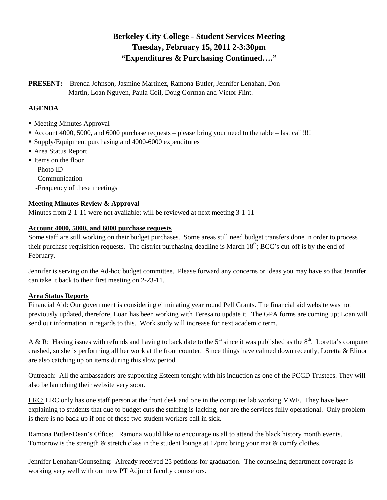# **Berkeley City College - Student Services Meeting Tuesday, February 15, 2011 2-3:30pm "Expenditures & Purchasing Continued…."**

**PRESENT:** Brenda Johnson, Jasmine Martinez, Ramona Butler, Jennifer Lenahan, Don Martin, Loan Nguyen, Paula Coil, Doug Gorman and Victor Flint.

## **AGENDA**

- Meeting Minutes Approval
- Account 4000, 5000, and 6000 purchase requests please bring your need to the table last call!!!!
- Supply/Equipment purchasing and 4000-6000 expenditures
- Area Status Report
- Items on the floor
	- -Photo ID
	- -Communication
	- -Frequency of these meetings

## **Meeting Minutes Review & Approval**

Minutes from 2-1-11 were not available; will be reviewed at next meeting 3-1-11

## **Account 4000, 5000, and 6000 purchase requests**

Some staff are still working on their budget purchases. Some areas still need budget transfers done in order to process their purchase requisition requests. The district purchasing deadline is March  $18<sup>th</sup>$ ; BCC's cut-off is by the end of February.

Jennifer is serving on the Ad-hoc budget committee. Please forward any concerns or ideas you may have so that Jennifer can take it back to their first meeting on 2-23-11.

## **Area Status Reports**

Financial Aid: Our government is considering eliminating year round Pell Grants. The financial aid website was not previously updated, therefore, Loan has been working with Teresa to update it. The GPA forms are coming up; Loan will send out information in regards to this. Work study will increase for next academic term.

A & R: Having issues with refunds and having to back date to the  $5<sup>th</sup>$  since it was published as the  $8<sup>th</sup>$ . Loretta's computer crashed, so she is performing all her work at the front counter. Since things have calmed down recently, Loretta & Elinor are also catching up on items during this slow period.

Outreach: All the ambassadors are supporting Esteem tonight with his induction as one of the PCCD Trustees. They will also be launching their website very soon.

LRC: LRC only has one staff person at the front desk and one in the computer lab working MWF. They have been explaining to students that due to budget cuts the staffing is lacking, nor are the services fully operational. Only problem is there is no back-up if one of those two student workers call in sick.

Ramona Butler/Dean's Office: Ramona would like to encourage us all to attend the black history month events. Tomorrow is the strength & stretch class in the student lounge at 12pm; bring your mat & comfy clothes.

Jennifer Lenahan/Counseling: Already received 25 petitions for graduation. The counseling department coverage is working very well with our new PT Adjunct faculty counselors.